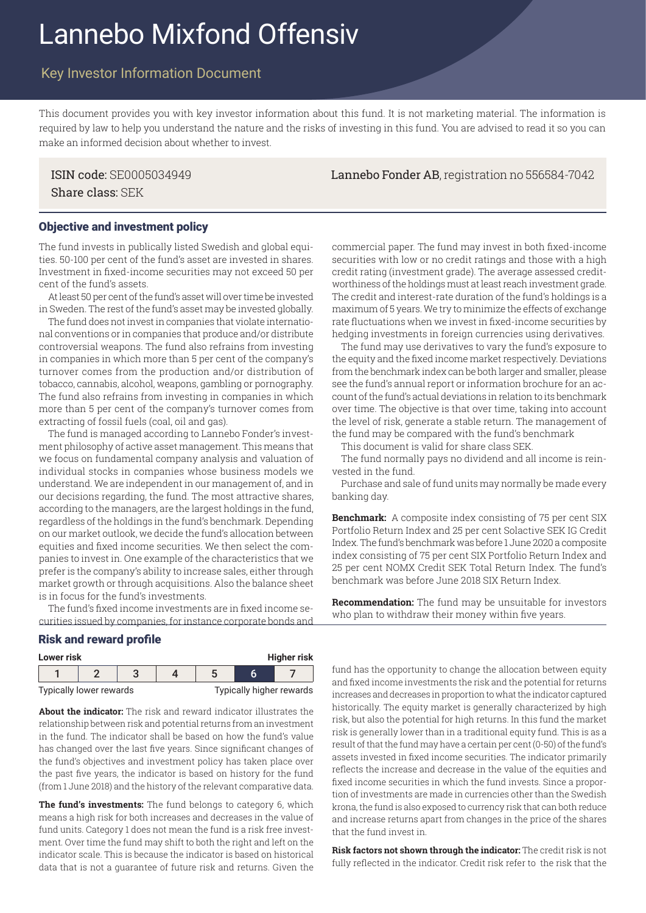# Lannebo Mixfond Offensiv

# Key Investor Information Document

This document provides you with key investor information about this fund. It is not marketing material. The information is required by law to help you understand the nature and the risks of investing in this fund. You are advised to read it so you can make an informed decision about whether to invest.

Share class: SEK

# Objective and investment policy

The fund invests in publically listed Swedish and global equities. 50-100 per cent of the fund's asset are invested in shares. Investment in fixed-income securities may not exceed 50 per cent of the fund's assets.

At least 50 per cent of the fund's asset will over time be invested in Sweden. The rest of the fund's asset may be invested globally.

The fund does not invest in companies that violate international conventions or in companies that produce and/or distribute controversial weapons. The fund also refrains from investing in companies in which more than 5 per cent of the company's turnover comes from the production and/or distribution of tobacco, cannabis, alcohol, weapons, gambling or pornography. The fund also refrains from investing in companies in which more than 5 per cent of the company's turnover comes from extracting of fossil fuels (coal, oil and gas).

The fund is managed according to Lannebo Fonder's investment philosophy of active asset management. This means that we focus on fundamental company analysis and valuation of individual stocks in companies whose business models we understand. We are independent in our management of, and in our decisions regarding, the fund. The most attractive shares, according to the managers, are the largest holdings in the fund, regardless of the holdings in the fund's benchmark. Depending on our market outlook, we decide the fund's allocation between equities and fixed income securities. We then select the companies to invest in. One example of the characteristics that we prefer is the company's ability to increase sales, either through market growth or through acquisitions. Also the balance sheet is in focus for the fund's investments.

The fund's fixed income investments are in fixed income securities issued by companies, for instance corporate bonds and

#### Risk and reward profile

| <b>Higher risk</b><br>Lower risk |  |  |  |                          |  |  |
|----------------------------------|--|--|--|--------------------------|--|--|
|                                  |  |  |  |                          |  |  |
| Typically lower rewards          |  |  |  | Typically higher rewards |  |  |

**About the indicator:** The risk and reward indicator illustrates the relationship between risk and potential returns from an investment in the fund. The indicator shall be based on how the fund's value has changed over the last five years. Since significant changes of the fund's objectives and investment policy has taken place over the past five years, the indicator is based on history for the fund (from 1 June 2018) and the history of the relevant comparative data.

**The fund's investments:** The fund belongs to category 6, which means a high risk for both increases and decreases in the value of fund units. Category 1 does not mean the fund is a risk free investment. Over time the fund may shift to both the right and left on the indicator scale. This is because the indicator is based on historical data that is not a guarantee of future risk and returns. Given the commercial paper. The fund may invest in both fixed-income securities with low or no credit ratings and those with a high credit rating (investment grade). The average assessed creditworthiness of the holdings must at least reach investment grade. The credit and interest-rate duration of the fund's holdings is a maximum of 5 years. We try to minimize the effects of exchange rate fluctuations when we invest in fixed-income securities by hedging investments in foreign currencies using derivatives.

The fund may use derivatives to vary the fund's exposure to the equity and the fixed income market respectively. Deviations from the benchmark index can be both larger and smaller, please see the fund's annual report or information brochure for an account of the fund's actual deviations in relation to its benchmark over time. The objective is that over time, taking into account the level of risk, generate a stable return. The management of the fund may be compared with the fund's benchmark

This document is valid for share class SEK.

The fund normally pays no dividend and all income is reinvested in the fund.

Purchase and sale of fund units may normally be made every banking day.

**Benchmark:** A composite index consisting of 75 per cent SIX Portfolio Return Index and 25 per cent Solactive SEK IG Credit Index. The fund's benchmark was before 1 June 2020 a composite index consisting of 75 per cent SIX Portfolio Return Index and 25 per cent NOMX Credit SEK Total Return Index. The fund's benchmark was before June 2018 SIX Return Index.

**Recommendation:** The fund may be unsuitable for investors who plan to withdraw their money within five years.

fund has the opportunity to change the allocation between equity and fixed income investments the risk and the potential for returns increases and decreases in proportion to what the indicator captured historically. The equity market is generally characterized by high risk, but also the potential for high returns. In this fund the market risk is generally lower than in a traditional equity fund. This is as a result of that the fund may have a certain per cent (0-50) of the fund's assets invested in fixed income securities. The indicator primarily reflects the increase and decrease in the value of the equities and fixed income securities in which the fund invests. Since a proportion of investments are made in currencies other than the Swedish krona, the fund is also exposed to currency risk that can both reduce and increase returns apart from changes in the price of the shares that the fund invest in.

**Risk factors not shown through the indicator:** The credit risk is not fully reflected in the indicator. Credit risk refer to the risk that the

ISIN code: SE0005034949 Lannebo Fonder AB, registration no 556584-7042